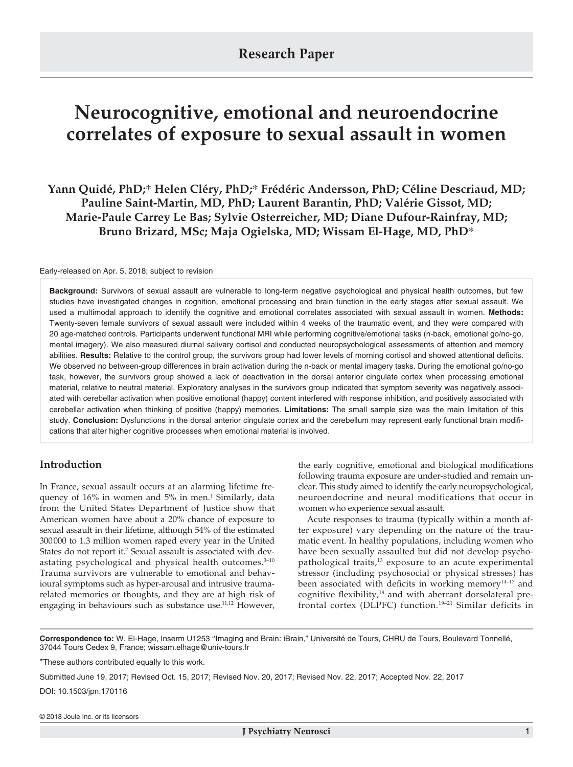# **Research Paper**

# **Neurocognitive, emotional and neuroendocrine correlates of exposure to sexual assault in women**

**Yann Quidé, PhD;**\* **Helen Cléry, PhD;**\* **Frédéric Andersson, PhD; Céline Descriaud, MD; Pauline Saint-Martin, MD, PhD; Laurent Barantin, PhD; Valérie Gissot, MD; Marie-Paule Carrey Le Bas; Sylvie Osterreicher, MD; Diane Dufour-Rainfray, MD; Bruno Brizard, MSc; Maja Ogielska, MD; Wissam El-Hage, MD, PhD**\*

#### Early-released on Apr. 5, 2018; subject to revision

**Background:** Survivors of sexual assault are vulnerable to long-term negative psychological and physical health outcomes, but few studies have investigated changes in cognition, emotional processing and brain function in the early stages after sexual assault. We used a multimodal approach to identify the cognitive and emotional correlates associated with sexual assault in women. **Methods:** Twenty-seven female survivors of sexual assault were included within 4 weeks of the traumatic event, and they were compared with 20 age-matched controls. Participants underwent functional MRI while performing cognitive/emotional tasks (n-back, emotional go/no-go, mental imagery). We also measured diurnal salivary cortisol and conducted neuropsychological assessments of attention and memory abilities. **Results:** Relative to the control group, the survivors group had lower levels of morning cortisol and showed attentional deficits. We observed no between-group differences in brain activation during the n-back or mental imagery tasks. During the emotional go/no-go task, however, the survivors group showed a lack of deactivation in the dorsal anterior cingulate cortex when processing emotional material, relative to neutral material. Exploratory analyses in the survivors group indicated that symptom severity was negatively associated with cerebellar activation when positive emotional (happy) content interfered with response inhibition, and positively associated with cerebellar activation when thinking of positive (happy) memories. **Limitations:** The small sample size was the main limitation of this study. **Conclusion:** Dysfunctions in the dorsal anterior cingulate cortex and the cerebellum may represent early functional brain modifications that alter higher cognitive processes when emotional material is involved.

# **Introduction**

In France, sexual assault occurs at an alarming lifetime frequency of 16% in women and 5% in men.<sup>1</sup> Similarly, data from the United States Department of Justice show that American women have about a 20% chance of exposure to sexual assault in their lifetime, although 54% of the estimated 300000 to 1.3 million women raped every year in the United States do not report it.<sup>2</sup> Sexual assault is associated with devastating psychological and physical health outcomes. $3-10$ Trauma survivors are vulnerable to emotional and behavioural symptoms such as hyper-arousal and intrusive traumarelated memories or thoughts, and they are at high risk of engaging in behaviours such as substance use.11,12 However, the early cognitive, emotional and biological modifications following trauma exposure are under-studied and remain unclear. This study aimed to identify the early neuropsychological, neuroendocrine and neural modifications that occur in women who experience sexual assault.

Acute responses to trauma (typically within a month after exposure) vary depending on the nature of the traumatic event. In healthy populations, including women who have been sexually assaulted but did not develop psychopathological traits,<sup>13</sup> exposure to an acute experimental stressor (including psychosocial or physical stresses) has been associated with deficits in working memory<sup>14-17</sup> and cognitive flexibility,18 and with aberrant dorsolateral prefrontal cortex (DLPFC) function.19–21 Similar deficits in

**Correspondence to:** W. El-Hage, Inserm U1253 ''Imaging and Brain: iBrain," Université de Tours, CHRU de Tours, Boulevard Tonnellé, 37044 Tours Cedex 9, France; wissam.elhage@univ-tours.fr

\*These authors contributed equally to this work.

Submitted June 19, 2017; Revised Oct. 15, 2017; Revised Nov. 20, 2017; Revised Nov. 22, 2017; Accepted Nov. 22, 2017

DOI: 10.1503/jpn.170116

© 2018 Joule Inc. or its licensors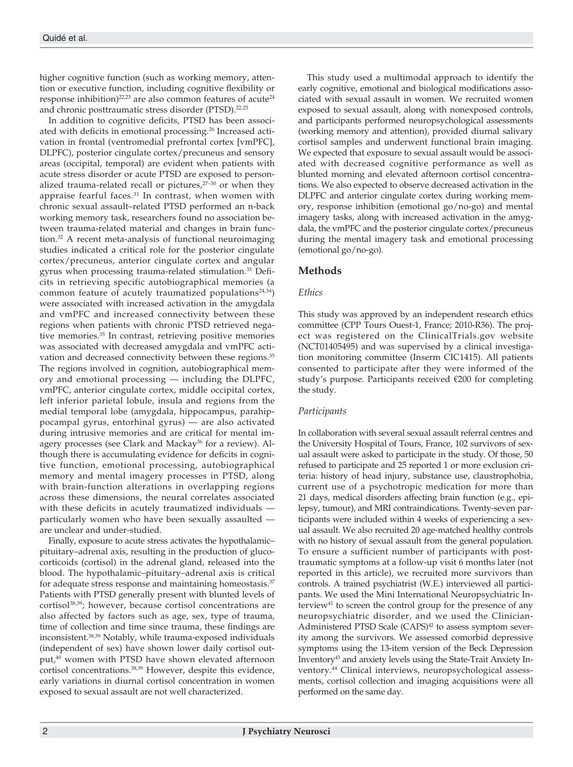higher cognitive function (such as working memory, attention or executive function, including cognitive flexibility or response inhibition) $22,23$  are also common features of acute $24$ and chronic posttraumatic stress disorder (PTSD).<sup>22,25</sup>

In addition to cognitive deficits, PTSD has been associated with deficits in emotional processing.<sup>26</sup> Increased activation in frontal (ventromedial prefrontal cortex [vmPFC], DLPFC), posterior cingulate cortex/precuneus and sensory areas (occipital, temporal) are evident when patients with acute stress disorder or acute PTSD are exposed to personalized trauma-related recall or pictures, $27-30$  or when they appraise fearful faces. $31$  In contrast, when women with chronic sexual assault–related PTSD performed an n-back working memory task, researchers found no association between trauma-related material and changes in brain function.32 A recent meta-analysis of functional neuroimaging studies indicated a critical role for the posterior cingulate cortex/precuneus, anterior cingulate cortex and angular gyrus when processing trauma-related stimulation.<sup>33</sup> Deficits in retrieving specific autobiographical memories (a common feature of acutely traumatized populations<sup>24,34</sup>) were associated with increased activation in the amygdala and vmPFC and increased connectivity between these regions when patients with chronic PTSD retrieved negative memories.<sup>35</sup> In contrast, retrieving positive memories was associated with decreased amygdala and vmPFC activation and decreased connectivity between these regions.<sup>35</sup> The regions involved in cognition, autobiographical memory and emotional processing — including the DLPFC, vmPFC, anterior cingulate cortex, middle occipital cortex, left inferior parietal lobule, insula and regions from the medial temporal lobe (amygdala, hippocampus, parahippocampal gyrus, entorhinal gyrus) — are also activated during intrusive memories and are critical for mental imagery processes (see Clark and Mackay<sup>36</sup> for a review). Although there is accumulating evidence for deficits in cognitive function, emotional processing, autobiographical memory and mental imagery processes in PTSD, along with brain-function alterations in overlapping regions across these dimensions, the neural correlates associated with these deficits in acutely traumatized individuals particularly women who have been sexually assaulted are unclear and under-studied.

Finally, exposure to acute stress activates the hypothalamic– pituitary–adrenal axis, resulting in the production of glucocorticoids (cortisol) in the adrenal gland, released into the blood. The hypothalamic–pituitary–adrenal axis is critical for adequate stress response and maintaining homeostasis.<sup>37</sup> Patients with PTSD generally present with blunted levels of cortisol<sup>38,39</sup>; however, because cortisol concentrations are also affected by factors such as age, sex, type of trauma, time of collection and time since trauma, these findings are inconsistent.38,39 Notably, while trauma-exposed individuals (independent of sex) have shown lower daily cortisol output,40 women with PTSD have shown elevated afternoon cortisol concentrations.38,39 However, despite this evidence, early variations in diurnal cortisol concentration in women exposed to sexual assault are not well characterized.

This study used a multimodal approach to identify the early cognitive, emotional and biological modifications associated with sexual assault in women. We recruited women exposed to sexual assault, along with nonexposed controls, and participants performed neuropsychological assessments (working memory and attention), provided diurnal salivary cortisol samples and underwent functional brain imaging. We expected that exposure to sexual assault would be associated with decreased cognitive performance as well as blunted morning and elevated afternoon cortisol concentrations. We also expected to observe decreased activation in the DLPFC and anterior cingulate cortex during working memory, response inhibition (emotional go/no-go) and mental imagery tasks, along with increased activation in the amygdala, the vmPFC and the posterior cingulate cortex/precuneus during the mental imagery task and emotional processing (emotional go/no-go).

# **Methods**

# *Ethics*

This study was approved by an independent research ethics committee (CPP Tours Ouest-1, France; 2010-R36). The project was registered on the ClinicalTrials.gov website (NCT01405495) and was supervised by a clinical investigation monitoring committee (Inserm CIC1415). All patients consented to participate after they were informed of the study's purpose. Participants received €200 for completing the study.

# *Participants*

In collaboration with several sexual assault referral centres and the University Hospital of Tours, France, 102 survivors of sexual assault were asked to participate in the study. Of those, 50 refused to participate and 25 reported 1 or more exclusion criteria: history of head injury, substance use, claustrophobia, current use of a psychotropic medication for more than 21 days, medical disorders affecting brain function (e.g., epilepsy, tumour), and MRI contraindications. Twenty-seven participants were included within 4 weeks of experiencing a sexual assault. We also recruited 20 age-matched healthy controls with no history of sexual assault from the general population. To ensure a sufficient number of participants with posttraumatic symptoms at a follow-up visit 6 months later (not reported in this article), we recruited more survivors than controls. A trained psychiatrist (W.E.) interviewed all participants. We used the Mini International Neuropsychiatric Interview<sup>41</sup> to screen the control group for the presence of any neuropsychiatric disorder, and we used the Clinician-Administered PTSD Scale (CAPS)<sup>42</sup> to assess symptom severity among the survivors. We assessed comorbid depressive symptoms using the 13-item version of the Beck Depression Inventory43 and anxiety levels using the State-Trait Anxiety Inventory.44 Clinical interviews, neuropsychological assessments, cortisol collection and imaging acquisitions were all performed on the same day.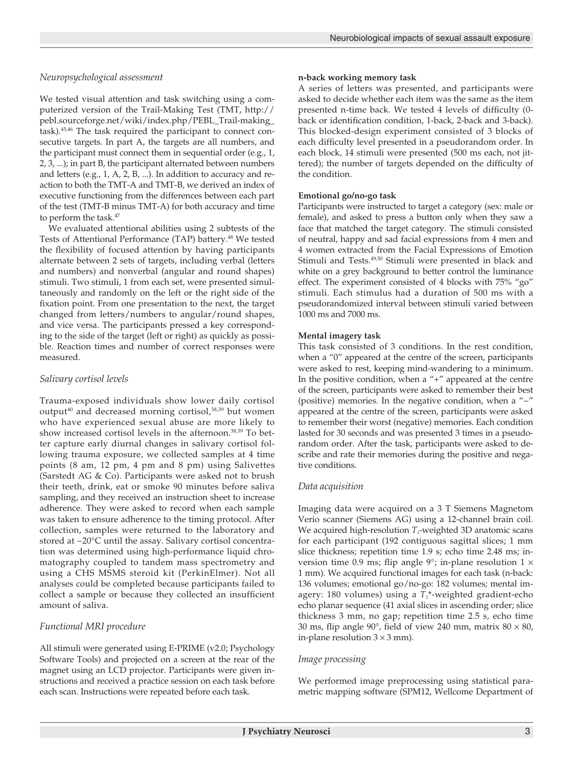# *Neuropsychological assessment*

We tested visual attention and task switching using a computerized version of the Trail-Making Test (TMT, http:// pebl.sourceforge.net/wiki/index.php/PEBL\_Trail-making\_ task).45,46 The task required the participant to connect consecutive targets. In part A, the targets are all numbers, and the participant must connect them in sequential order (e.g., 1, 2, 3, ...); in part B, the participant alternated between numbers and letters (e.g., 1, A, 2, B, ...). In addition to accuracy and reaction to both the TMT-A and TMT-B, we derived an index of executive functioning from the differences between each part of the test (TMT-B minus TMT-A) for both accuracy and time to perform the task.<sup>47</sup>

We evaluated attentional abilities using 2 subtests of the Tests of Attentional Performance (TAP) battery.<sup>48</sup> We tested the flexibility of focused attention by having participants alternate between 2 sets of targets, including verbal (letters and numbers) and nonverbal (angular and round shapes) stimuli. Two stimuli, 1 from each set, were presented simultaneously and randomly on the left or the right side of the fixation point. From one presentation to the next, the target changed from letters/numbers to angular/round shapes, and vice versa. The participants pressed a key corresponding to the side of the target (left or right) as quickly as possible. Reaction times and number of correct responses were measured.

# *Salivary cortisol levels*

Trauma-exposed individuals show lower daily cortisol output<sup>40</sup> and decreased morning cortisol,<sup>38,39</sup> but women who have experienced sexual abuse are more likely to show increased cortisol levels in the afternoon.38,39 To better capture early diurnal changes in salivary cortisol following trauma exposure, we collected samples at 4 time points (8 am, 12 pm, 4 pm and 8 pm) using Salivettes (Sarstedt AG & Co). Participants were asked not to brush their teeth, drink, eat or smoke 90 minutes before saliva sampling, and they received an instruction sheet to increase adherence. They were asked to record when each sample was taken to ensure adherence to the timing protocol. After collection, samples were returned to the laboratory and stored at −20°C until the assay. Salivary cortisol concentration was determined using high-performance liquid chromatography coupled to tandem mass spectrometry and using a CHS MSMS steroid kit (PerkinElmer). Not all analyses could be completed because participants failed to collect a sample or because they collected an insufficient amount of saliva.

# *Functional MRI procedure*

All stimuli were generated using E-PRIME (v2.0; Psychology Software Tools) and projected on a screen at the rear of the magnet using an LCD projector. Participants were given instructions and received a practice session on each task before each scan. Instructions were repeated before each task.

# **n-back working memory task**

A series of letters was presented, and participants were asked to decide whether each item was the same as the item presented n-time back. We tested 4 levels of difficulty (0 back or identification condition, 1-back, 2-back and 3-back). This blocked-design experiment consisted of 3 blocks of each difficulty level presented in a pseudorandom order. In each block, 14 stimuli were presented (500 ms each, not jittered); the number of targets depended on the difficulty of the condition.

# **Emotional go/no-go task**

Participants were instructed to target a category (sex: male or female), and asked to press a button only when they saw a face that matched the target category. The stimuli consisted of neutral, happy and sad facial expressions from 4 men and 4 women extracted from the Facial Expressions of Emotion Stimuli and Tests.<sup>49,50</sup> Stimuli were presented in black and white on a grey background to better control the luminance effect. The experiment consisted of 4 blocks with 75% "go" stimuli. Each stimulus had a duration of 500 ms with a pseudorandomized interval between stimuli varied between 1000 ms and 7000 ms.

# **Mental imagery task**

This task consisted of 3 conditions. In the rest condition, when a "0" appeared at the centre of the screen, participants were asked to rest, keeping mind-wandering to a minimum. In the positive condition, when a "+" appeared at the centre of the screen, participants were asked to remember their best (positive) memories. In the negative condition, when a "−" appeared at the centre of the screen, participants were asked to remember their worst (negative) memories. Each condition lasted for 30 seconds and was presented 3 times in a pseudorandom order. After the task, participants were asked to describe and rate their memories during the positive and negative conditions.

# *Data acquisition*

Imaging data were acquired on a 3 T Siemens Magnetom Verio scanner (Siemens AG) using a 12-channel brain coil. We acquired high-resolution  $T_1$ -weighted 3D anatomic scans for each participant (192 contiguous sagittal slices; 1 mm slice thickness; repetition time 1.9 s; echo time 2.48 ms; inversion time 0.9 ms; flip angle  $9^{\circ}$ ; in-plane resolution 1  $\times$ 1 mm). We acquired functional images for each task (n-back: 136 volumes; emotional go/no-go: 182 volumes; mental imagery: 180 volumes) using a  $T_2^*$ -weighted gradient-echo echo planar sequence (41 axial slices in ascending order; slice thickness 3 mm, no gap; repetition time 2.5 s, echo time 30 ms, flip angle 90°, field of view 240 mm, matrix 80  $\times$  80, in-plane resolution  $3 \times 3$  mm).

# *Image processing*

We performed image preprocessing using statistical parametric mapping software (SPM12, Wellcome Department of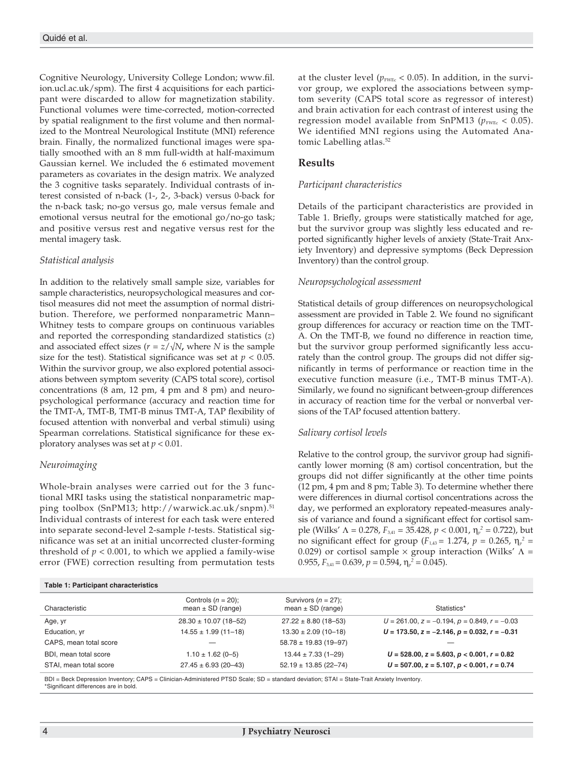Cognitive Neurology, University College London; www.fil. ion.ucl.ac.uk/spm). The first 4 acquisitions for each participant were discarded to allow for magnetization stability. Functional volumes were time-corrected, motion-corrected by spatial realignment to the first volume and then normalized to the Montreal Neurological Institute (MNI) reference brain. Finally, the normalized functional images were spatially smoothed with an 8 mm full-width at half-maximum Gaussian kernel. We included the 6 estimated movement parameters as covariates in the design matrix. We analyzed the 3 cognitive tasks separately. Individual contrasts of interest consisted of n-back (1-, 2-, 3-back) versus 0-back for the n-back task; no-go versus go, male versus female and emotional versus neutral for the emotional go/no-go task; and positive versus rest and negative versus rest for the mental imagery task.

#### *Statistical analysis*

In addition to the relatively small sample size, variables for sample characteristics, neuropsychological measures and cortisol measures did not meet the assumption of normal distribution. Therefore, we performed nonparametric Mann– Whitney tests to compare groups on continuous variables and reported the corresponding standardized statistics (*z*) and associated effect sizes ( $r = z/\sqrt{N}$ , where *N* is the sample size for the test). Statistical significance was set at  $p < 0.05$ . Within the survivor group, we also explored potential associations between symptom severity (CAPS total score), cortisol concentrations (8 am, 12 pm, 4 pm and 8 pm) and neuropsychological performance (accuracy and reaction time for the TMT-A, TMT-B, TMT-B minus TMT-A, TAP flexibility of focused attention with nonverbal and verbal stimuli) using Spearman correlations. Statistical significance for these exploratory analyses was set at *p* < 0.01.

# *Neuroimaging*

Whole-brain analyses were carried out for the 3 functional MRI tasks using the statistical nonparametric mapping toolbox (SnPM13; http://warwick.ac.uk/snpm).51 Individual contrasts of interest for each task were entered into separate second-level 2-sample *t*-tests. Statistical significance was set at an initial uncorrected cluster-forming threshold of  $p < 0.001$ , to which we applied a family-wise error (FWE) correction resulting from permutation tests

# **Table 1: Participant characteristics**

at the cluster level ( $p_{\text{FWEc}}$  < 0.05). In addition, in the survivor group, we explored the associations between symptom severity (CAPS total score as regressor of interest) and brain activation for each contrast of interest using the regression model available from SnPM13 ( $p_{\text{FWEC}}$  < 0.05). We identified MNI regions using the Automated Anatomic Labelling atlas.<sup>52</sup>

# **Results**

#### *Participant characteristics*

Details of the participant characteristics are provided in Table 1. Briefly, groups were statistically matched for age, but the survivor group was slightly less educated and reported significantly higher levels of anxiety (State-Trait Anxiety Inventory) and depressive symptoms (Beck Depression Inventory) than the control group.

#### *Neuropsychological assessment*

Statistical details of group differences on neuropsychological assessment are provided in Table 2. We found no significant group differences for accuracy or reaction time on the TMT-A. On the TMT-B, we found no difference in reaction time, but the survivor group performed significantly less accurately than the control group. The groups did not differ significantly in terms of performance or reaction time in the executive function measure (i.e., TMT-B minus TMT-A). Similarly, we found no significant between-group differences in accuracy of reaction time for the verbal or nonverbal versions of the TAP focused attention battery.

#### *Salivary cortisol levels*

Relative to the control group, the survivor group had significantly lower morning (8 am) cortisol concentration, but the groups did not differ significantly at the other time points (12 pm, 4 pm and 8 pm; Table 3). To determine whether there were differences in diurnal cortisol concentrations across the day, we performed an exploratory repeated-measures analysis of variance and found a significant effect for cortisol sample (Wilks' Λ = 0.278, *F*<sub>3,41</sub> = 35.428, *p* < 0.001, η<sub>*p*</sub><sup>2</sup> = 0.722), but no significant effect for group ( $F_{1,43}$  = 1.274,  $p = 0.265$ ,  $η_p^2$  = 0.029) or cortisol sample  $\times$  group interaction (Wilks'  $\Lambda$  = 0.955,  $F_{3,41} = 0.639$ ,  $p = 0.594$ ,  $\eta_p^2 = 0.045$ ).

| Table 1: Participant characteristics |                                                |                                                 |                                                         |
|--------------------------------------|------------------------------------------------|-------------------------------------------------|---------------------------------------------------------|
| Characteristic                       | Controls $(n = 20)$ ;<br>mean $\pm$ SD (range) | Survivors $(n = 27)$ ;<br>mean $\pm$ SD (range) | Statistics*                                             |
| Age, yr                              | $28.30 \pm 10.07$ (18-52)                      | $27.22 \pm 8.80$ (18-53)                        | $U = 261.00$ , $z = -0.194$ , $p = 0.849$ , $r = -0.03$ |
| Education, yr                        | $14.55 \pm 1.99$ (11-18)                       | $13.30 \pm 2.09$ (10-18)                        | $U = 173.50$ , $z = -2.146$ , $p = 0.032$ , $r = -0.31$ |
| CAPS, mean total score               |                                                | $58.78 \pm 19.83$ (19-97)                       |                                                         |
| BDI, mean total score                | $1.10 \pm 1.62$ (0-5)                          | $13.44 \pm 7.33(1 - 29)$                        | $U = 528.00$ , $z = 5.603$ , $p < 0.001$ , $r = 0.82$   |
| STAI, mean total score               | $27.45 \pm 6.93$ (20-43)                       | $52.19 \pm 13.85$ (22-74)                       | $U = 507.00$ , $z = 5.107$ , $p < 0.001$ , $r = 0.74$   |
|                                      |                                                |                                                 |                                                         |

BDI = Beck Depression Inventory; CAPS = Clinician-Administered PTSD Scale; SD = standard deviation; STAI = State-Trait Anxiety Inventory. \*Significant differences are in bold.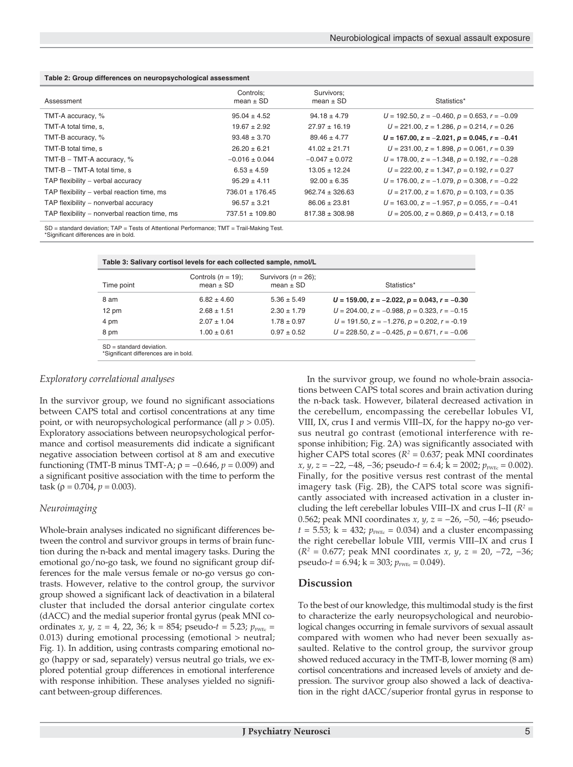| Table 2: Group differences on neuropsychological assessment |  |  |
|-------------------------------------------------------------|--|--|
|-------------------------------------------------------------|--|--|

|                                               | Controls:           | Survivors;          |                                                         |
|-----------------------------------------------|---------------------|---------------------|---------------------------------------------------------|
| Assessment                                    | $mean \pm SD$       | $mean \pm SD$       | Statistics*                                             |
| TMT-A accuracy, %                             | $95.04 \pm 4.52$    | $94.18 \pm 4.79$    | $U = 192.50$ , $z = -0.460$ , $p = 0.653$ , $r = -0.09$ |
| TMT-A total time, s,                          | $19.67 \pm 2.92$    | $27.97 \pm 16.19$   | $U = 221.00$ , $z = 1.286$ , $p = 0.214$ , $r = 0.26$   |
| TMT-B accuracy, %                             | $93.48 \pm 3.70$    | $89.46 \pm 4.77$    | $U = 167.00$ , $z = -2.021$ , $p = 0.045$ , $r = -0.41$ |
| TMT-B total time, s                           | $26.20 \pm 6.21$    | $41.02 \pm 21.71$   | $U = 231.00$ , $z = 1.898$ , $p = 0.061$ , $r = 0.39$   |
| TMT-B - TMT-A accuracy, %                     | $-0.016 \pm 0.044$  | $-0.047 \pm 0.072$  | $U = 178.00$ , $z = -1.348$ , $p = 0.192$ , $r = -0.28$ |
| TMT-B - TMT-A total time. s                   | $6.53 \pm 4.59$     | $13.05 \pm 12.24$   | $U = 222.00$ , $z = 1.347$ , $p = 0.192$ , $r = 0.27$   |
| TAP flexibility - verbal accuracy             | $95.29 \pm 4.11$    | $92.00 \pm 6.35$    | $U = 176.00$ , $z = -1.079$ , $p = 0.308$ , $r = -0.22$ |
| TAP flexibility - verbal reaction time, ms    | $736.01 \pm 176.45$ | $962.74 \pm 326.63$ | $U = 217.00$ , $z = 1.670$ , $p = 0.103$ , $r = 0.35$   |
| TAP flexibility - nonverbal accuracy          | $96.57 \pm 3.21$    | $86.06 \pm 23.81$   | $U = 163.00$ , $z = -1.957$ , $p = 0.055$ , $r = -0.41$ |
| TAP flexibility – nonverbal reaction time, ms | $737.51 \pm 109.80$ | $817.38 \pm 308.98$ | $U = 205.00$ , $z = 0.869$ , $p = 0.413$ , $r = 0.18$   |

SD = standard deviation; TAP = Tests of Attentional Performance; TMT = Trail-Making Test. \*Significant differences are in bold.

| Table 3: Salivary cortisol levels for each collected sample, nmol/L  |                                        |                                          |                                                         |
|----------------------------------------------------------------------|----------------------------------------|------------------------------------------|---------------------------------------------------------|
| Time point                                                           | Controls $(n = 19)$ ;<br>$mean \pm SD$ | Survivors ( $n = 26$ );<br>mean $\pm$ SD | Statistics*                                             |
| 8 am                                                                 | $6.82 \pm 4.60$                        | $5.36 \pm 5.49$                          | $U = 159.00$ , $z = -2.022$ , $p = 0.043$ , $r = -0.30$ |
| $12 \text{ pm}$                                                      | $2.68 \pm 1.51$                        | $2.30 \pm 1.79$                          | $U = 204.00$ , $z = -0.988$ , $p = 0.323$ , $r = -0.15$ |
| 4 pm                                                                 | $2.07 \pm 1.04$                        | $1.78 \pm 0.97$                          | $U = 191.50$ , $z = -1.276$ , $p = 0.202$ , $r = -0.19$ |
| 8 pm                                                                 | $1.00 \pm 0.61$                        | $0.97 \pm 0.52$                          | $U = 228.50$ , $z = -0.425$ , $p = 0.671$ , $r = -0.06$ |
| $SD = standard deviation$ .<br>*Significant differences are in bold. |                                        |                                          |                                                         |

# *Exploratory correlational analyses*

In the survivor group, we found no significant associations between CAPS total and cortisol concentrations at any time point, or with neuropsychological performance (all *p* > 0.05). Exploratory associations between neuropsychological performance and cortisol measurements did indicate a significant negative association between cortisol at 8 am and executive functioning (TMT-B minus TMT-A;  $\rho = -0.646$ ,  $p = 0.009$ ) and a significant positive association with the time to perform the task ( $\rho = 0.704$ ,  $p = 0.003$ ).

# *Neuroimaging*

Whole-brain analyses indicated no significant differences between the control and survivor groups in terms of brain function during the n-back and mental imagery tasks. During the emotional go/no-go task, we found no significant group differences for the male versus female or no-go versus go contrasts. However, relative to the control group, the survivor group showed a significant lack of deactivation in a bilateral cluster that included the dorsal anterior cingulate cortex (dACC) and the medial superior frontal gyrus (peak MNI coordinates *x*, *y*, *z* = 4, 22, 36; k = 854; pseudo- $t$  = 5.23;  $p_{\text{FWEC}}$  = 0.013) during emotional processing (emotional > neutral; Fig. 1). In addition, using contrasts comparing emotional nogo (happy or sad, separately) versus neutral go trials, we explored potential group differences in emotional interference with response inhibition. These analyses yielded no significant between-group differences.

In the survivor group, we found no whole-brain associations between CAPS total scores and brain activation during the n-back task. However, bilateral decreased activation in the cerebellum, encompassing the cerebellar lobules VI, VIII, IX, crus I and vermis VIII–IX, for the happy no-go versus neutral go contrast (emotional interference with response inhibition; Fig. 2A) was significantly associated with higher CAPS total scores ( $R^2$  = 0.637; peak MNI coordinates  $x, y, z = -22, -48, -36$ ; pseudo- $t = 6.4$ ;  $k = 2002$ ;  $p_{\text{FWEc}} = 0.002$ ). Finally, for the positive versus rest contrast of the mental imagery task (Fig. 2B), the CAPS total score was significantly associated with increased activation in a cluster including the left cerebellar lobules VIII–IX and crus I–II  $(R^2 =$ 0.562; peak MNI coordinates *x, y, z* = −26, −50, −46; pseudo $t = 5.53$ ;  $k = 432$ ;  $p_{\text{FWEc}} = 0.034$ ) and a cluster encompassing the right cerebellar lobule VIII, vermis VIII–IX and crus I (*R2* = 0.677; peak MNI coordinates *x, y, z* = 20, −72, −36; pseudo- $t = 6.94$ ; k = 303;  $p_{\text{FWEc}} = 0.049$ ).

# **Discussion**

To the best of our knowledge, this multimodal study is the first to characterize the early neuropsychological and neurobiological changes occurring in female survivors of sexual assault compared with women who had never been sexually assaulted. Relative to the control group, the survivor group showed reduced accuracy in the TMT-B, lower morning (8 am) cortisol concentrations and increased levels of anxiety and depression. The survivor group also showed a lack of deactivation in the right dACC/superior frontal gyrus in response to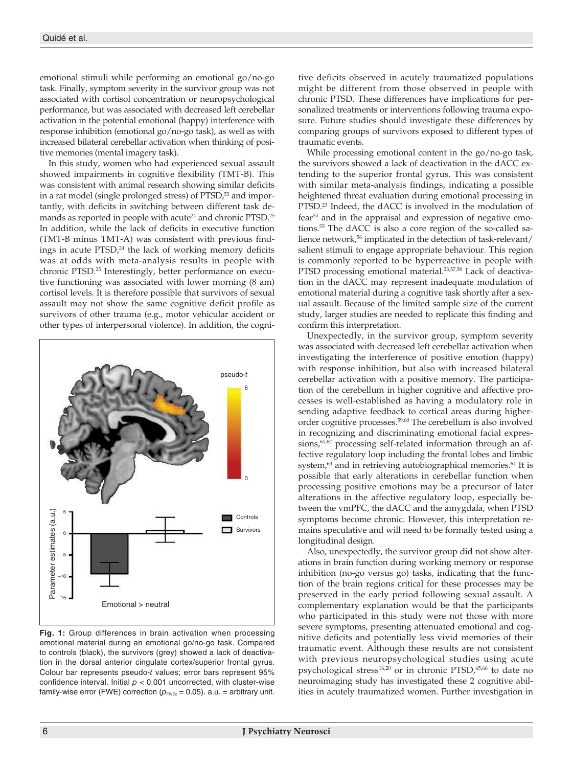emotional stimuli while performing an emotional go/no-go task. Finally, symptom severity in the survivor group was not associated with cortisol concentration or neuropsychological performance, but was associated with decreased left cerebellar activation in the potential emotional (happy) interference with response inhibition (emotional go/no-go task), as well as with increased bilateral cerebellar activation when thinking of positive memories (mental imagery task).

In this study, women who had experienced sexual assault showed impairments in cognitive flexibility (TMT-B). This was consistent with animal research showing similar deficits in a rat model (single prolonged stress) of PTSD,<sup>53</sup> and importantly, with deficits in switching between different task demands as reported in people with acute<sup>24</sup> and chronic PTSD.<sup>25</sup> In addition, while the lack of deficits in executive function (TMT-B minus TMT-A) was consistent with previous findings in acute PTSD,<sup>24</sup> the lack of working memory deficits was at odds with meta-analysis results in people with chronic PTSD.25 Interestingly, better performance on executive functioning was associated with lower morning (8 am) cortisol levels. It is therefore possible that survivors of sexual assault may not show the same cognitive deficit profile as survivors of other trauma (e.g., motor vehicular accident or other types of interpersonal violence). In addition, the cogni-



**Fig. 1:** Group differences in brain activation when processing emotional material during an emotional go/no-go task. Compared to controls (black), the survivors (grey) showed a lack of deactivation in the dorsal anterior cingulate cortex/superior frontal gyrus. Colour bar represents pseudo-*t* values; error bars represent 95% confidence interval. Initial  $p < 0.001$  uncorrected, with cluster-wise family-wise error (FWE) correction ( $p_{\text{FWE}}$  = 0.05). a.u. = arbitrary unit.

tive deficits observed in acutely traumatized populations might be different from those observed in people with chronic PTSD. These differences have implications for personalized treatments or interventions following trauma exposure. Future studies should investigate these differences by comparing groups of survivors exposed to different types of traumatic events.

While processing emotional content in the go/no-go task, the survivors showed a lack of deactivation in the dACC extending to the superior frontal gyrus. This was consistent with similar meta-analysis findings, indicating a possible heightened threat evaluation during emotional processing in PTSD.23 Indeed, the dACC is involved in the modulation of fear54 and in the appraisal and expression of negative emotions.55 The dACC is also a core region of the so-called salience network,<sup>56</sup> implicated in the detection of task-relevant/ salient stimuli to engage appropriate behaviour. This region is commonly reported to be hyperreactive in people with PTSD processing emotional material.<sup>23,57,58</sup> Lack of deactivation in the dACC may represent inadequate modulation of emotional material during a cognitive task shortly after a sexual assault. Because of the limited sample size of the current study, larger studies are needed to replicate this finding and confirm this interpretation.

Unexpectedly, in the survivor group, symptom severity was associated with decreased left cerebellar activation when investigating the interference of positive emotion (happy) with response inhibition, but also with increased bilateral cerebellar activation with a positive memory. The participation of the cerebellum in higher cognitive and affective processes is well-established as having a modulatory role in sending adaptive feedback to cortical areas during higherorder cognitive processes.59,60 The cerebellum is also involved in recognizing and discriminating emotional facial expressions,<sup>61,62</sup> processing self-related information through an affective regulatory loop including the frontal lobes and limbic system,<sup>63</sup> and in retrieving autobiographical memories.<sup>64</sup> It is possible that early alterations in cerebellar function when processing positive emotions may be a precursor of later alterations in the affective regulatory loop, especially between the vmPFC, the dACC and the amygdala, when PTSD symptoms become chronic. However, this interpretation remains speculative and will need to be formally tested using a longitudinal design.

Also, unexpectedly, the survivor group did not show alterations in brain function during working memory or response inhibition (no-go versus go) tasks, indicating that the function of the brain regions critical for these processes may be preserved in the early period following sexual assault. A complementary explanation would be that the participants who participated in this study were not those with more severe symptoms, presenting attenuated emotional and cognitive deficits and potentially less vivid memories of their traumatic event. Although these results are not consistent with previous neuropsychological studies using acute psychological stress<sup>16,20</sup> or in chronic PTSD,<sup>65,66</sup> to date no neuroimaging study has investigated these 2 cognitive abilities in acutely traumatized women. Further investigation in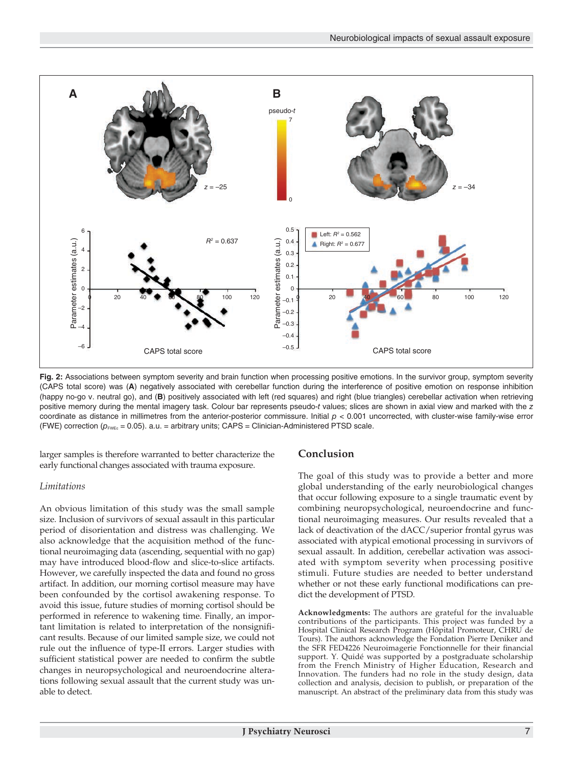

Fig. 2: Associations between symptom severity and brain function when processing positive emotions. In the survivor group, symptom severity (CAPS total score) was (**A**) negatively associated with cerebellar function during the interference of positive emotion on response inhibition (happy no-go v. neutral go), and (**B**) positively associated with left (red squares) and right (blue triangles) cerebellar activation when retrieving positive memory during the mental imagery task. Colour bar represents pseudo-*t* values; slices are shown in axial view and marked with the *z* coordinate as distance in millimetres from the anterior-posterior commissure. Initial *p* < 0.001 uncorrected, with cluster-wise family-wise error (FWE) correction ( $p_{\text{FWE}_c} = 0.05$ ). a.u. = arbitrary units; CAPS = Clinician-Administered PTSD scale.

larger samples is therefore warranted to better characterize the early functional changes associated with trauma exposure.

#### *Limitations*

An obvious limitation of this study was the small sample size. Inclusion of survivors of sexual assault in this particular period of disorientation and distress was challenging. We also acknowledge that the acquisition method of the functional neuroimaging data (ascending, sequential with no gap) may have introduced blood-flow and slice-to-slice artifacts. However, we carefully inspected the data and found no gross artifact. In addition, our morning cortisol measure may have been confounded by the cortisol awakening response. To avoid this issue, future studies of morning cortisol should be performed in reference to wakening time. Finally, an important limitation is related to interpretation of the nonsignificant results. Because of our limited sample size, we could not rule out the influence of type-II errors. Larger studies with sufficient statistical power are needed to confirm the subtle changes in neuropsychological and neuroendocrine alterations following sexual assault that the current study was unable to detect.

#### **Conclusion**

The goal of this study was to provide a better and more global understanding of the early neurobiological changes that occur following exposure to a single traumatic event by combining neuropsychological, neuroendocrine and functional neuroimaging measures. Our results revealed that a lack of deactivation of the dACC/superior frontal gyrus was associated with atypical emotional processing in survivors of sexual assault. In addition, cerebellar activation was associated with symptom severity when processing positive stimuli. Future studies are needed to better understand whether or not these early functional modifications can predict the development of PTSD.

**Acknowledgments:** The authors are grateful for the invaluable contributions of the participants. This project was funded by a Hospital Clinical Research Program (Hôpital Promoteur, CHRU de Tours). The authors acknowledge the Fondation Pierre Deniker and the SFR FED4226 Neuroimagerie Fonctionnelle for their financial support. Y. Quidé was supported by a postgraduate scholarship from the French Ministry of Higher Education, Research and Innovation. The funders had no role in the study design, data collection and analysis, decision to publish, or preparation of the manuscript. An abstract of the preliminary data from this study was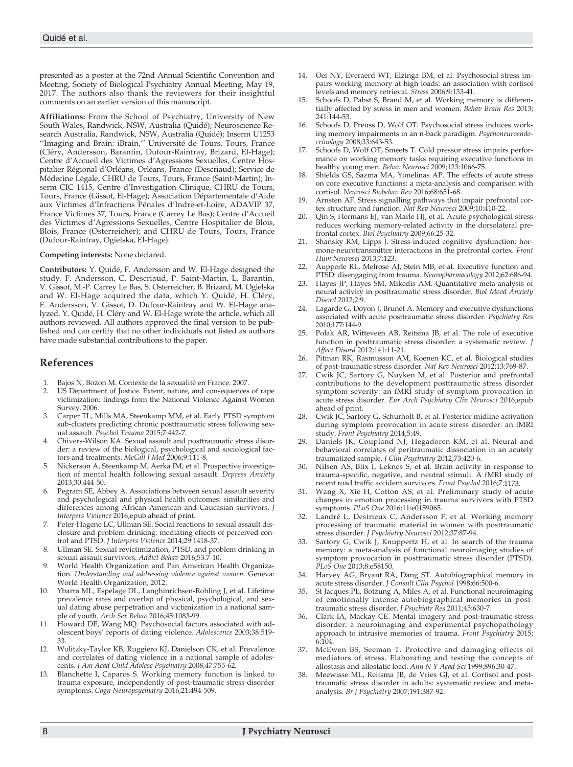presented as a poster at the 72nd Annual Scientific Convention and Meeting, Society of Biological Psychiatry Annual Meeting, May 19, 2017. The authors also thank the reviewers for their insightful comments on an earlier version of this manuscript.

**Affiliations:** From the School of Psychiatry, University of New South Wales, Randwick, NSW, Australia (Quidé); Neuroscience Research Australia, Randwick, NSW, Australia (Quidé); Inserm U1253 ''Imaging and Brain: iBrain,'' Université de Tours, Tours, France (Cléry, Andersson, Barantin, Dufour-Rainfray, Brizard, El-Hage); Centre d'Accueil des Victimes d'Agressions Sexuelles, Centre Hospitalier Régional d'Orléans, Orléans, France (Descriaud); Service de Médecine Légale, CHRU de Tours, Tours, France (Saint-Martin); Inserm CIC 1415, Centre d'Investigation Clinique, CHRU de Tours, Tours, France (Gissot, El-Hage); Association Départementale d'Aide aux Victimes d'Infractions Pénales d'Indre-et-Loire, ADAVIP 37, France Victimes 37, Tours, France (Carrey Le Bas); Centre d'Accueil des Victimes d'Agressions Sexuelles, Centre Hospitalier de Blois, Blois, France (Osterreicher); and CHRU de Tours, Tours, France (Dufour-Rainfray, Ogielska, El-Hage).

#### **Competing interests:** None declared.

**Contributors:** Y. Quidé, F. Andersson and W. El-Hage designed the study. F. Andersson, C. Descriaud, P. Saint-Martin, L. Barantin, V. Gissot, M.-P. Carrey Le Bas, S. Osterreicher, B. Brizard, M. Ogielska and W. El-Hage acquired the data, which Y. Quidé, H. Cléry, F. Andersson, V. Gissot, D. Dufour-Rainfray and W. El-Hage analyzed. Y. Quidé, H. Cléry and W. El-Hage wrote the article, which all authors reviewed. All authors approved the final version to be published and can certify that no other individuals not listed as authors have made substantial contributions to the paper.

#### **References**

- 1. Bajos N, Bozon M. Contexte de la sexualité en France. 2007.
- 2. US Department of Justice. Extent, nature, and consequences of rape victimization: findings from the National Violence Against Women Survey. 2006.
- 3. Carper TL, Mills MA, Steenkamp MM, et al. Early PTSD symptom sub-clusters predicting chronic posttraumatic stress following sexual assault. *Psychol Trauma* 2015;7:442-7.
- 4. Chivers-Wilson KA. Sexual assault and posttraumatic stress disorder: a review of the biological, psychological and sociological factors and treatments. *McGill J Med* 2006;9:111-8.
- 5. Nickerson A, Steenkamp M, Aerka IM, et al. Prospective investigation of mental health following sexual assault. *Depress Anxiety* 2013;30:444-50.
- 6. Pegram SE, Abbey A. Associations between sexual assault severity and psychological and physical health outcomes: similarities and differences among African American and Caucasian survivors. *J Interpers Violence* 2016;epub ahead of print.
- 7. Peter-Hagene LC, Ullman SE. Social reactions to sexual assault disclosure and problem drinking: mediating effects of perceived control and PTSD. *J Interpers Violence* 2014;29:1418-37.
- Ullman SE. Sexual revictimization, PTSD, and problem drinking in sexual assault survivors. *Addict Behav* 2016;53:7-10.
- World Health Organization and Pan American Health Organization. *Understanding and addressing violence against women*. Geneva: World Health Organization; 2012.
- 10. Ybarra ML, Espelage DL, Langhinrichsen-Rohling J, et al. Lifetime prevalence rates and overlap of physical, psychological, and sexual dating abuse perpetration and victimization in a national sample of youth. *Arch Sex Behav* 2016;45:1083-99.
- 11. Howard DE, Wang MQ. Psychosocial factors associated with adolescent boys' reports of dating violence. *Adolescence* 2003;38:519- 33.
- 12. Wolitzky-Taylor KB, Ruggiero KJ, Danielson CK, et al. Prevalence and correlates of dating violence in a national sample of adolescents. *J Am Acad Child Adolesc Psychiatry* 2008;47:755-62.
- 13. Blanchette I, Caparos S. Working memory function is linked to trauma exposure, independently of post-traumatic stress disorder symptoms. *Cogn Neuropsychiatry* 2016;21:494-509.
- 14. Oei NY, Everaerd WT, Elzinga BM, et al. Psychosocial stress impairs working memory at high loads: an association with cortisol levels and memory retrieval. *Stress* 2006;9:133-41.
- 15. Schoofs D, Pabst S, Brand M, et al. Working memory is differentially affected by stress in men and women. *Behav Brain Res* 2013; 241:144-53.
- 16. Schoofs D, Preuss D, Wolf OT. Psychosocial stress induces working memory impairments in an n-back paradigm. *Psychoneuroendocrinology* 2008;33:643-53.
- 17. Schoofs D, Wolf OT, Smeets T. Cold pressor stress impairs performance on working memory tasks requiring executive functions in healthy young men. *Behav Neurosci* 2009;123:1066-75.
- 18. Shields GS, Sazma MA, Yonelinas AP. The effects of acute stress on core executive functions: a meta-analysis and comparison with cortisol. *Neurosci Biobehav Rev* 2016;68:651-68.
- 19. Arnsten AF. Stress signalling pathways that impair prefrontal cortex structure and function. *Nat Rev Neurosci* 2009;10:410-22.
- 20. Qin S, Hermans EJ, van Marle HJ, et al. Acute psychological stress reduces working memory-related activity in the dorsolateral prefrontal cortex. *Biol Psychiatry* 2009;66:25-32.
- 21. Shansky RM, Lipps J. Stress-induced cognitive dysfunction: hormone-neurotransmitter interactions in the prefrontal cortex. *Front Hum Neurosci* 2013;7:123.
- 22. Aupperle RL, Melrose AJ, Stein MB, et al. Executive function and PTSD: disengaging from trauma. *Neuropharmacology* 2012;62:686-94.
- 23. Hayes JP, Hayes SM, Mikedis AM. Quantitative meta-analysis of neural activity in posttraumatic stress disorder. *Biol Mood Anxiety Disord* 2012;2:9.
- 24. Lagarde G, Doyon J, Brunet A. Memory and executive dysfunctions associated with acute posttraumatic stress disorder. *Psychiatry Res* 2010;177:144-9.
- 25. Polak AR, Witteveen AB, Reitsma JB, et al. The role of executive function in posttraumatic stress disorder: a systematic review. *J Affect Disord* 2012;141:11-21.
- 26. Pitman RK, Rasmusson AM, Koenen KC, et al. Biological studies of post-traumatic stress disorder. *Nat Rev Neurosci* 2012;13:769-87.
- 27. Cwik JC, Sartory G, Nuyken M, et al. Posterior and prefrontal contributions to the development posttraumatic stress disorder symptom severity: an fMRI study of symptom provocation in acute stress disorder. *Eur Arch Psychiatry Clin Neurosci* 2016;epub ahead of print.
- 28. Cwik JC, Sartory G, Schurholt B, et al. Posterior midline activation during symptom provocation in acute stress disorder: an fMRI study. *Front Psychiatry* 2014;5:49.
- 29. Daniels JK, Coupland NJ, Hegadoren KM, et al. Neural and behavioral correlates of peritraumatic dissociation in an acutely traumatized sample. *J Clin Psychiatry* 2012;73:420-6.
- 30. Nilsen AS, Blix I, Leknes S, et al. Brain activity in response to trauma-specific, negative, and neutral stimuli. A fMRI study of recent road traffic accident survivors. *Front Psychol* 2016;7:1173.
- 31. Wang X, Xie H, Cotton AS, et al. Preliminary study of acute changes in emotion processing in trauma survivors with PTSD symptoms. *PLoS One* 2016;11:e0159065.
- 32. Landré L, Destrieux C, Andersson F, et al. Working memory processing of traumatic material in women with posttraumatic stress disorder. *J Psychiatry Neurosci* 2012;37:87-94.
- 33. Sartory G, Cwik J, Knuppertz H, et al. In search of the trauma memory: a meta-analysis of functional neuroimaging studies of symptom provocation in posttraumatic stress disorder (PTSD). *PLoS One* 2013;8:e58150.
- 34. Harvey AG, Bryant RA, Dang ST. Autobiographical memory in acute stress disorder. *J Consult Clin Psychol* 1998;66:500-6.
- 35. St Jacques PL, Botzung A, Miles A, et al. Functional neuroimaging of emotionally intense autobiographical memories in posttraumatic stress disorder. *J Psychiatr Res* 2011;45:630-7.
- 36. Clark IA, Mackay CE. Mental imagery and post-traumatic stress disorder: a neuroimaging and experimental psychopathology approach to intrusive memories of trauma. *Front Psychiatry* 2015; 6:104.
- 37. McEwen BS, Seeman T. Protective and damaging effects of mediators of stress. Elaborating and testing the concepts of allostasis and allostatic load. *Ann N Y Acad Sci* 1999;896:30-47.
- 38. Meewisse ML, Reitsma JB, de Vries GJ, et al. Cortisol and posttraumatic stress disorder in adults: systematic review and metaanalysis. *Br J Psychiatry* 2007;191:387-92.